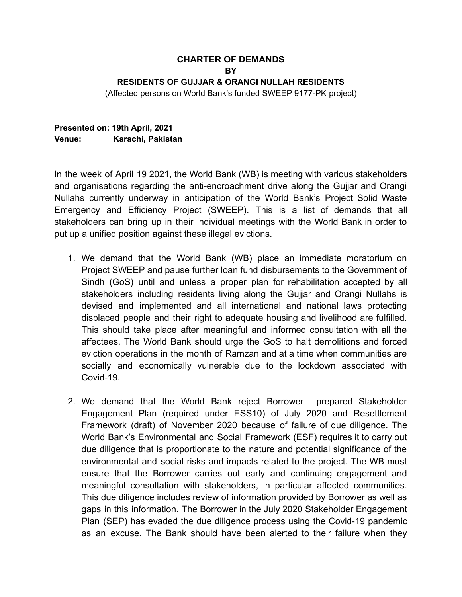## **CHARTER OF DEMANDS BY RESIDENTS OF GUJJAR & ORANGI NULLAH RESIDENTS**

(Affected persons on World Bank's funded SWEEP 9177-PK project)

## **Presented on: 19th April, 2021 Venue: Karachi, Pakistan**

In the week of April 19 2021, the World Bank (WB) is meeting with various stakeholders and organisations regarding the anti-encroachment drive along the Gujjar and Orangi Nullahs currently underway in anticipation of the World Bank's Project Solid Waste Emergency and Efficiency Project (SWEEP). This is a list of demands that all stakeholders can bring up in their individual meetings with the World Bank in order to put up a unified position against these illegal evictions.

- 1. We demand that the World Bank (WB) place an immediate moratorium on Project SWEEP and pause further loan fund disbursements to the Government of Sindh (GoS) until and unless a proper plan for rehabilitation accepted by all stakeholders including residents living along the Gujjar and Orangi Nullahs is devised and implemented and all international and national laws protecting displaced people and their right to adequate housing and livelihood are fulfilled. This should take place after meaningful and informed consultation with all the affectees. The World Bank should urge the GoS to halt demolitions and forced eviction operations in the month of Ramzan and at a time when communities are socially and economically vulnerable due to the lockdown associated with Covid-19.
- 2. We demand that the World Bank reject Borrower prepared Stakeholder Engagement Plan (required under ESS10) of July 2020 and Resettlement Framework (draft) of November 2020 because of failure of due diligence. The World Bank's Environmental and Social Framework (ESF) requires it to carry out due diligence that is proportionate to the nature and potential significance of the environmental and social risks and impacts related to the project. The WB must ensure that the Borrower carries out early and continuing engagement and meaningful consultation with stakeholders, in particular affected communities. This due diligence includes review of information provided by Borrower as well as gaps in this information. The Borrower in the July 2020 Stakeholder Engagement Plan (SEP) has evaded the due diligence process using the Covid-19 pandemic as an excuse. The Bank should have been alerted to their failure when they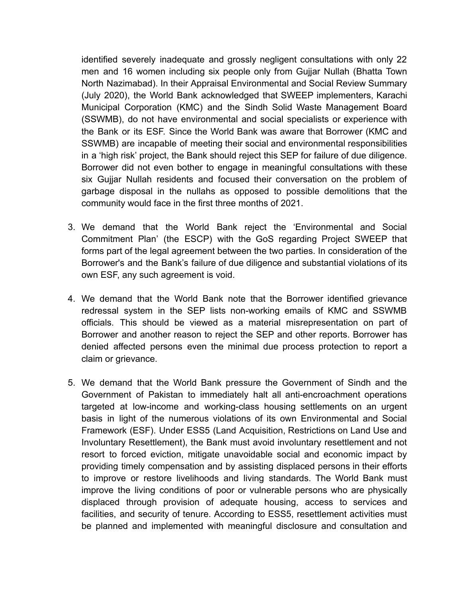identified severely inadequate and grossly negligent consultations with only 22 men and 16 women including six people only from Gujjar Nullah (Bhatta Town North Nazimabad). In their Appraisal Environmental and Social Review Summary (July 2020), the World Bank acknowledged that SWEEP implementers, Karachi Municipal Corporation (KMC) and the Sindh Solid Waste Management Board (SSWMB), do not have environmental and social specialists or experience with the Bank or its ESF. Since the World Bank was aware that Borrower (KMC and SSWMB) are incapable of meeting their social and environmental responsibilities in a 'high risk' project, the Bank should reject this SEP for failure of due diligence. Borrower did not even bother to engage in meaningful consultations with these six Gujjar Nullah residents and focused their conversation on the problem of garbage disposal in the nullahs as opposed to possible demolitions that the community would face in the first three months of 2021.

- 3. We demand that the World Bank reject the 'Environmental and Social Commitment Plan' (the ESCP) with the GoS regarding Project SWEEP that forms part of the legal agreement between the two parties. In consideration of the Borrower's and the Bank's failure of due diligence and substantial violations of its own ESF, any such agreement is void.
- 4. We demand that the World Bank note that the Borrower identified grievance redressal system in the SEP lists non-working emails of KMC and SSWMB officials. This should be viewed as a material misrepresentation on part of Borrower and another reason to reject the SEP and other reports. Borrower has denied affected persons even the minimal due process protection to report a claim or grievance.
- 5. We demand that the World Bank pressure the Government of Sindh and the Government of Pakistan to immediately halt all anti-encroachment operations targeted at low-income and working-class housing settlements on an urgent basis in light of the numerous violations of its own Environmental and Social Framework (ESF). Under ESS5 (Land Acquisition, Restrictions on Land Use and Involuntary Resettlement), the Bank must avoid involuntary resettlement and not resort to forced eviction, mitigate unavoidable social and economic impact by providing timely compensation and by assisting displaced persons in their efforts to improve or restore livelihoods and living standards. The World Bank must improve the living conditions of poor or vulnerable persons who are physically displaced through provision of adequate housing, access to services and facilities, and security of tenure. According to ESS5, resettlement activities must be planned and implemented with meaningful disclosure and consultation and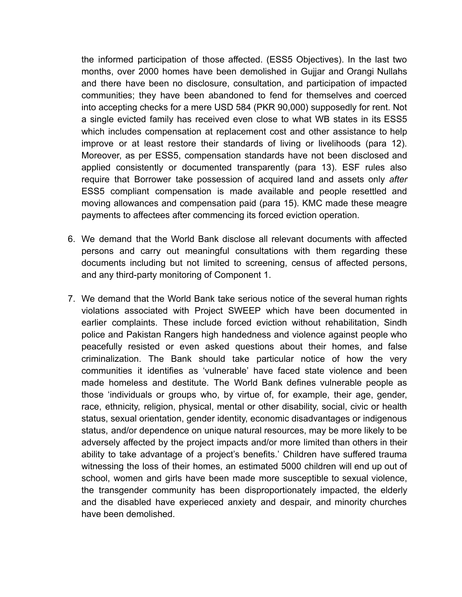the informed participation of those affected. (ESS5 Objectives). In the last two months, over 2000 homes have been demolished in Gujjar and Orangi Nullahs and there have been no disclosure, consultation, and participation of impacted communities; they have been abandoned to fend for themselves and coerced into accepting checks for a mere USD 584 (PKR 90,000) supposedly for rent. Not a single evicted family has received even close to what WB states in its ESS5 which includes compensation at replacement cost and other assistance to help improve or at least restore their standards of living or livelihoods (para 12). Moreover, as per ESS5, compensation standards have not been disclosed and applied consistently or documented transparently (para 13). ESF rules also require that Borrower take possession of acquired land and assets only *after* ESS5 compliant compensation is made available and people resettled and moving allowances and compensation paid (para 15). KMC made these meagre payments to affectees after commencing its forced eviction operation.

- 6. We demand that the World Bank disclose all relevant documents with affected persons and carry out meaningful consultations with them regarding these documents including but not limited to screening, census of affected persons, and any third-party monitoring of Component 1.
- 7. We demand that the World Bank take serious notice of the several human rights violations associated with Project SWEEP which have been documented in earlier complaints. These include forced eviction without rehabilitation, Sindh police and Pakistan Rangers high handedness and violence against people who peacefully resisted or even asked questions about their homes, and false criminalization. The Bank should take particular notice of how the very communities it identifies as 'vulnerable' have faced state violence and been made homeless and destitute. The World Bank defines vulnerable people as those 'individuals or groups who, by virtue of, for example, their age, gender, race, ethnicity, religion, physical, mental or other disability, social, civic or health status, sexual orientation, gender identity, economic disadvantages or indigenous status, and/or dependence on unique natural resources, may be more likely to be adversely affected by the project impacts and/or more limited than others in their ability to take advantage of a project's benefits.' Children have suffered trauma witnessing the loss of their homes, an estimated 5000 children will end up out of school, women and girls have been made more susceptible to sexual violence, the transgender community has been disproportionately impacted, the elderly and the disabled have experieced anxiety and despair, and minority churches have been demolished.